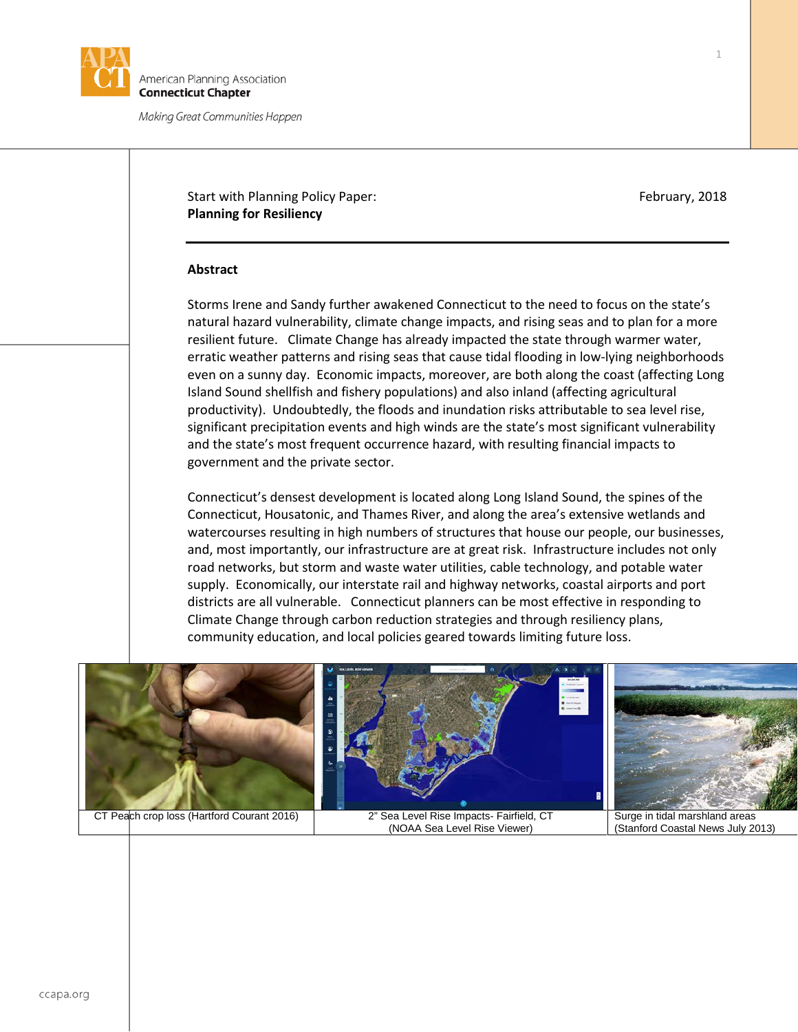

merican Planning Association **Connecticut Chapter** 

Making Great Communities Happen

# Start with Planning Policy Paper: February, 2018 **Planning for Resiliency**

# **Abstract**

Storms Irene and Sandy further awakened Connecticut to the need to focus on the state's natural hazard vulnerability, climate change impacts, and rising seas and to plan for a more resilient future. Climate Change has already impacted the state through warmer water, erratic weather patterns and rising seas that cause tidal flooding in low-lying neighborhoods even on a sunny day. Economic impacts, moreover, are both along the coast (affecting Long Island Sound shellfish and fishery populations) and also inland (affecting agricultural productivity). Undoubtedly, the floods and inundation risks attributable to sea level rise, significant precipitation events and high winds are the state's most significant vulnerability and the state's most frequent occurrence hazard, with resulting financial impacts to government and the private sector.

Connecticut's densest development is located along Long Island Sound, the spines of the Connecticut, Housatonic, and Thames River, and along the area's extensive wetlands and watercourses resulting in high numbers of structures that house our people, our businesses, and, most importantly, our infrastructure are at great risk. Infrastructure includes not only road networks, but storm and waste water utilities, cable technology, and potable water supply. Economically, our interstate rail and highway networks, coastal airports and port districts are all vulnerable. Connecticut planners can be most effective in responding to Climate Change through carbon reduction strategies and through resiliency plans, community education, and local policies geared towards limiting future loss.

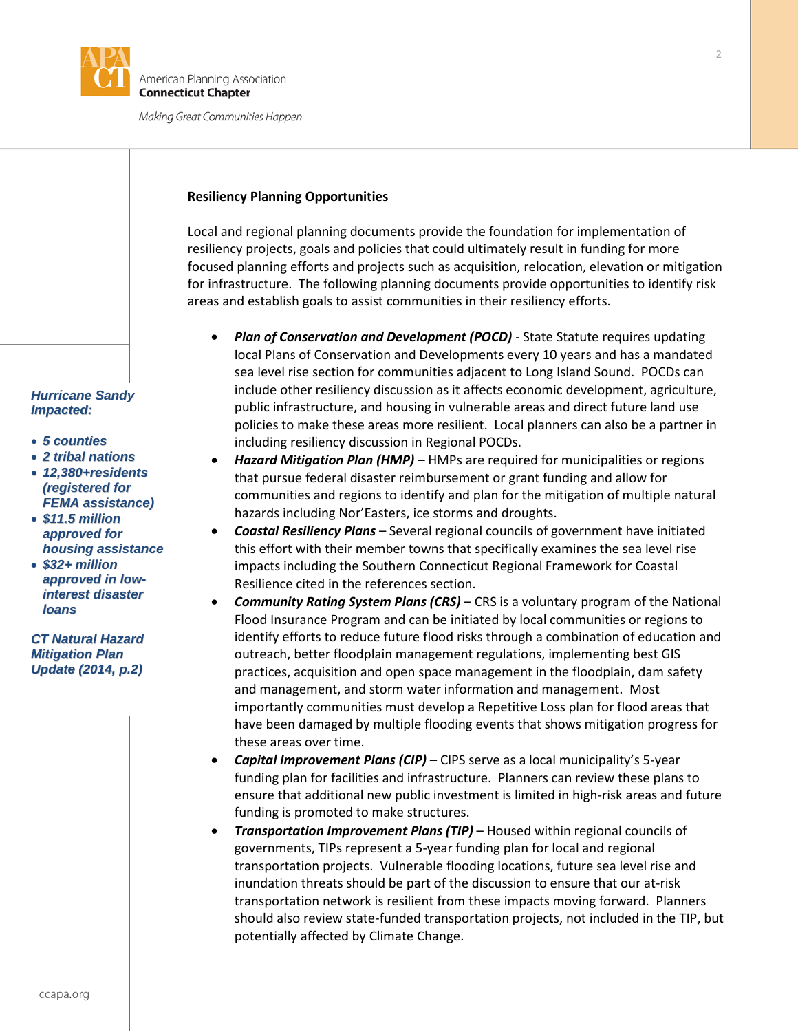

## **Resiliency Planning Opportunities**

Local and regional planning documents provide the foundation for implementation of resiliency projects, goals and policies that could ultimately result in funding for more focused planning efforts and projects such as acquisition, relocation, elevation or mitigation for infrastructure. The following planning documents provide opportunities to identify risk areas and establish goals to assist communities in their resiliency efforts.

- *Plan of Conservation and Development (POCD)* State Statute requires updating local Plans of Conservation and Developments every 10 years and has a mandated sea level rise section for communities adjacent to Long Island Sound. POCDs can include other resiliency discussion as it affects economic development, agriculture, public infrastructure, and housing in vulnerable areas and direct future land use policies to make these areas more resilient. Local planners can also be a partner in including resiliency discussion in Regional POCDs.
- *Hazard Mitigation Plan (HMP)* HMPs are required for municipalities or regions that pursue federal disaster reimbursement or grant funding and allow for communities and regions to identify and plan for the mitigation of multiple natural hazards including Nor'Easters, ice storms and droughts.
- *Coastal Resiliency Plans* Several regional councils of government have initiated this effort with their member towns that specifically examines the sea level rise impacts including the Southern Connecticut Regional Framework for Coastal Resilience cited in the references section.
- *Community Rating System Plans (CRS)* CRS is a voluntary program of the National Flood Insurance Program and can be initiated by local communities or regions to identify efforts to reduce future flood risks through a combination of education and outreach, better floodplain management regulations, implementing best GIS practices, acquisition and open space management in the floodplain, dam safety and management, and storm water information and management. Most importantly communities must develop a Repetitive Loss plan for flood areas that have been damaged by multiple flooding events that shows mitigation progress for these areas over time.
- *Capital Improvement Plans (CIP)* CIPS serve as a local municipality's 5-year funding plan for facilities and infrastructure. Planners can review these plans to ensure that additional new public investment is limited in high-risk areas and future funding is promoted to make structures.
- *Transportation Improvement Plans (TIP)* Housed within regional councils of governments, TIPs represent a 5-year funding plan for local and regional transportation projects. Vulnerable flooding locations, future sea level rise and inundation threats should be part of the discussion to ensure that our at-risk transportation network is resilient from these impacts moving forward. Planners should also review state-funded transportation projects, not included in the TIP, but potentially affected by Climate Change.

### *Hurricane Sandy Impacted:*

- *5 counties*
- *2 tribal nations*
- *12,380+residents (registered for FEMA assistance)*
- *\$11.5 million approved for housing assistance*
- *\$32+ million approved in lowinterest disaster loans*

*CT Natural Hazard Mitigation Plan Update (2014, p.2)*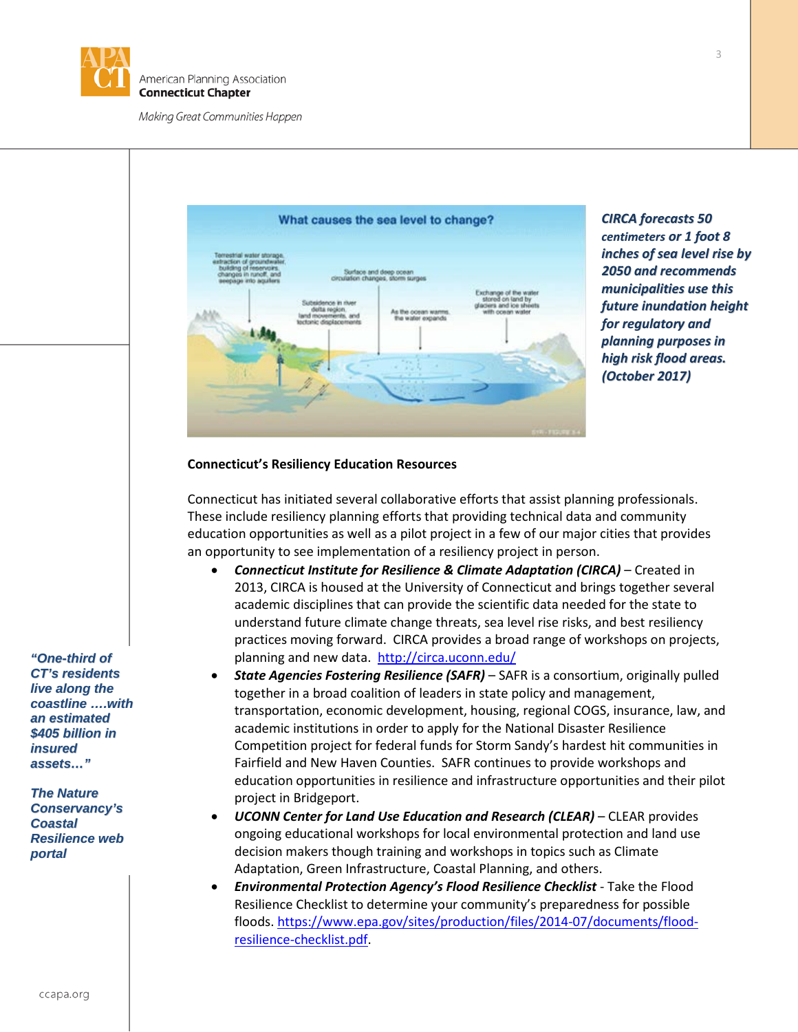



*CIRCA forecasts 50 centimeters or 1 foot 8 inches of sea level rise by 2050 and recommends municipalities use this future inundation height for regulatory and planning purposes in high risk flood areas. (October 2017)*

# **Connecticut's Resiliency Education Resources**

Connecticut has initiated several collaborative efforts that assist planning professionals. These include resiliency planning efforts that providing technical data and community education opportunities as well as a pilot project in a few of our major cities that provides an opportunity to see implementation of a resiliency project in person.

- *Connecticut Institute for Resilience & Climate Adaptation (CIRCA)* Created in 2013, CIRCA is housed at the University of Connecticut and brings together several academic disciplines that can provide the scientific data needed for the state to understand future climate change threats, sea level rise risks, and best resiliency practices moving forward. CIRCA provides a broad range of workshops on projects, planning and new data. <http://circa.uconn.edu/>
- *State Agencies Fostering Resilience (SAFR)* SAFR is a consortium, originally pulled together in a broad coalition of leaders in state policy and management, transportation, economic development, housing, regional COGS, insurance, law, and academic institutions in order to apply for the National Disaster Resilience Competition project for federal funds for Storm Sandy's hardest hit communities in Fairfield and New Haven Counties. SAFR continues to provide workshops and education opportunities in resilience and infrastructure opportunities and their pilot project in Bridgeport.
- *UCONN Center for Land Use Education and Research (CLEAR)* CLEAR provides ongoing educational workshops for local environmental protection and land use decision makers though training and workshops in topics such as Climate Adaptation, Green Infrastructure, Coastal Planning, and others.
- *Environmental Protection Agency's Flood Resilience Checklist* Take the Flood Resilience Checklist to determine your community's preparedness for possible floods. [https://www.epa.gov/sites/production/files/2014-07/documents/flood](https://www.epa.gov/sites/production/files/2014-07/documents/flood-resilience-checklist.pdf)[resilience-checklist.pdf.](https://www.epa.gov/sites/production/files/2014-07/documents/flood-resilience-checklist.pdf)

*"One-third of CT's residents live along the coastline ….with an estimated \$405 billion in insured assets…"*

*The Nature Conservancy's Coastal Resilience web portal*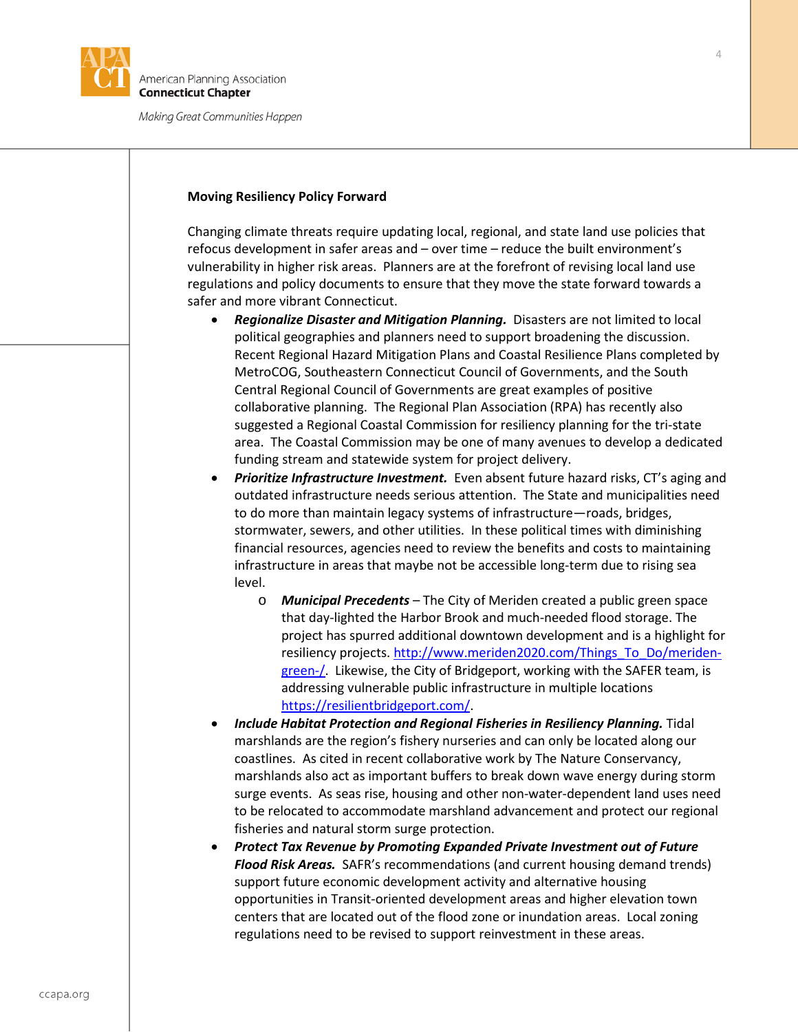

### **Moving Resiliency Policy Forward**

Changing climate threats require updating local, regional, and state land use policies that refocus development in safer areas and – over time – reduce the built environment's vulnerability in higher risk areas. Planners are at the forefront of revising local land use regulations and policy documents to ensure that they move the state forward towards a safer and more vibrant Connecticut.

- *Regionalize Disaster and Mitigation Planning.*Disasters are not limited to local political geographies and planners need to support broadening the discussion. Recent Regional Hazard Mitigation Plans and Coastal Resilience Plans completed by MetroCOG, Southeastern Connecticut Council of Governments, and the South Central Regional Council of Governments are great examples of positive collaborative planning. The Regional Plan Association (RPA) has recently also suggested a Regional Coastal Commission for resiliency planning for the tri-state area. The Coastal Commission may be one of many avenues to develop a dedicated funding stream and statewide system for project delivery.
- **Prioritize Infrastructure Investment.** Even absent future hazard risks, CT's aging and outdated infrastructure needs serious attention. The State and municipalities need to do more than maintain legacy systems of infrastructure—roads, bridges, stormwater, sewers, and other utilities. In these political times with diminishing financial resources, agencies need to review the benefits and costs to maintaining infrastructure in areas that maybe not be accessible long-term due to rising sea level.
	- o *Municipal Precedents* The City of Meriden created a public green space that day-lighted the Harbor Brook and much-needed flood storage. The project has spurred additional downtown development and is a highlight for resiliency projects. [http://www.meriden2020.com/Things\\_To\\_Do/meriden](http://www.meriden2020.com/Things_To_Do/meriden-green-/)[green-/.](http://www.meriden2020.com/Things_To_Do/meriden-green-/) Likewise, the City of Bridgeport, working with the SAFER team, is addressing vulnerable public infrastructure in multiple locations [https://resilientbridgeport.com/.](https://resilientbridgeport.com/)
- *Include Habitat Protection and Regional Fisheries in Resiliency Planning.* Tidal marshlands are the region's fishery nurseries and can only be located along our coastlines. As cited in recent collaborative work by The Nature Conservancy, marshlands also act as important buffers to break down wave energy during storm surge events. As seas rise, housing and other non-water-dependent land uses need to be relocated to accommodate marshland advancement and protect our regional fisheries and natural storm surge protection.
- *Protect Tax Revenue by Promoting Expanded Private Investment out of Future Flood Risk Areas.* SAFR's recommendations (and current housing demand trends) support future economic development activity and alternative housing opportunities in Transit-oriented development areas and higher elevation town centers that are located out of the flood zone or inundation areas. Local zoning regulations need to be revised to support reinvestment in these areas.